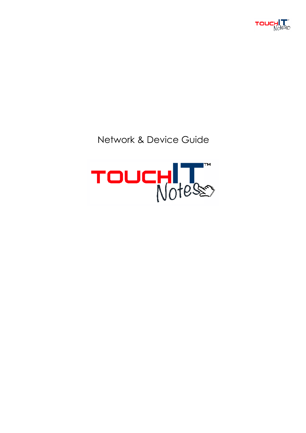

# Network & Device Guide

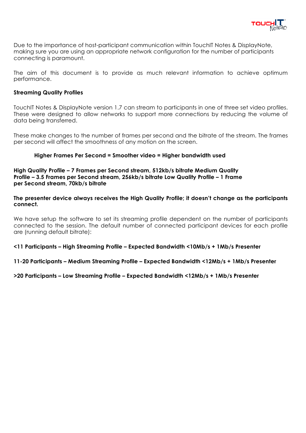

Due to the importance of host-participant communication within TouchIT Notes & DisplayNote, making sure you are using an appropriate network configuration for the number of participants connecting is paramount.

The aim of this document is to provide as much relevant information to achieve optimum performance.

#### **Streaming Quality Profiles**

TouchIT Notes & DisplayNote version 1.7 can stream to participants in one of three set video profiles. These were designed to allow networks to support more connections by reducing the volume of data being transferred.

These make changes to the number of frames per second and the bitrate of the stream. The frames per second will affect the smoothness of any motion on the screen.

#### **Higher Frames Per Second = Smoother video = Higher bandwidth used**

**High Quality Profile – 7 Frames per Second stream, 512kb/s bitrate Medium Quality Profile – 3.5 Frames per Second stream, 256kb/s bitrate Low Quality Profile – 1 Frame per Second stream, 70kb/s bitrate**

**The presenter device always receives the High Quality Profile; it doesn't change as the participants connect.**

We have setup the software to set its streaming profile dependent on the number of participants connected to the session. The default number of connected participant devices for each profile are (running default bitrate):

**<11 Participants – High Streaming Profile – Expected Bandwidth <10Mb/s + 1Mb/s Presenter**

**11-20 Participants – Medium Streaming Profile – Expected Bandwidth <12Mb/s + 1Mb/s Presenter**

**>20 Participants – Low Streaming Profile – Expected Bandwidth <12Mb/s + 1Mb/s Presenter**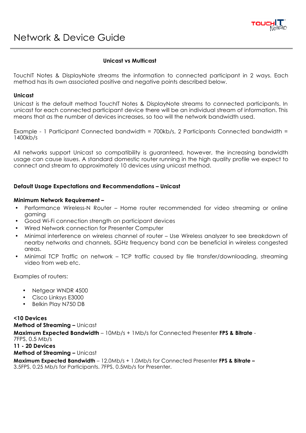

# **Unicast vs Multicast**

TouchIT Notes & DisplayNote streams the information to connected participant in 2 ways. Each method has its own associated positive and negative points described below.

#### **Unicast**

Unicast is the default method TouchIT Notes & DisplayNote streams to connected participants. In unicast for each connected participant device there will be an individual stream of information. This means that as the number of devices increases, so too will the network bandwidth used.

Example - 1 Participant Connected bandwidth = 700kb/s, 2 Participants Connected bandwidth = 1400kb/s

All networks support Unicast so compatibility is guaranteed, however, the increasing bandwidth usage can cause issues. A standard domestic router running in the high quality profile we expect to connect and stream to approximately 10 devices using unicast method.

# **Default Usage Expectations and Recommendations – Unicast**

#### **Minimum Network Requirement –**

- Performance Wireless-N Router Home router recommended for video streaming or online gaming
- Good Wi-Fi connection strength on participant devices
- Wired Network connection for Presenter Computer
- Minimal interference on wireless channel of router Use Wireless analyzer to see breakdown of nearby networks and channels, 5GHz frequency band can be beneficial in wireless congested areas.
- Minimal TCP Traffic on network TCP traffic caused by file transfer/downloading, streaming video from web etc.

Examples of routers:

- Netgear WNDR 4500
- Cisco Linksys E3000
- Belkin Play N750 DB

**<10 Devices Method of Streaming –** Unicast

**Maximum Expected Bandwidth** – 10Mb/s + 1Mb/s for Connected Presenter **FPS & Bitrate** - 7FPS, 0.5 Mb/s **11 - 20 Devices**

**Method of Streaming –** Unicast

**Maximum Expected Bandwidth** – 12.0Mb/s + 1.0Mb/s for Connected Presenter **FPS & Bitrate –**  3.5FPS, 0.25 Mb/s for Participants. 7FPS, 0.5Mb/s for Presenter.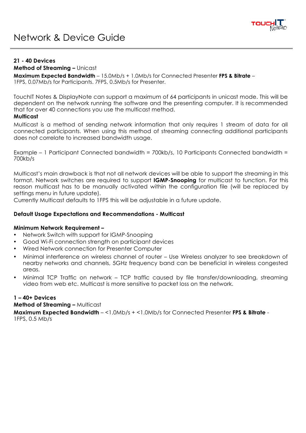

### **21 - 40 Devices**

# **Method of Streaming –** Unicast

**Maximum Expected Bandwidth** – 15.0Mb/s + 1.0Mb/s for Connected Presenter **FPS & Bitrate** – 1FPS, 0.07Mb/s for Participants. 7FPS, 0.5Mb/s for Presenter.

TouchIT Notes & DisplayNote can support a maximum of 64 participants in unicast mode. This will be dependent on the network running the software and the presenting computer. It is recommended that for over 40 connections you use the multicast method.

# **Multicast**

Multicast is a method of sending network information that only requires 1 stream of data for all connected participants. When using this method of streaming connecting additional participants does not correlate to increased bandwidth usage.

Example – 1 Participant Connected bandwidth = 700kb/s, 10 Participants Connected bandwidth = 700kb/s

Multicast's main drawback is that not all network devices will be able to support the streaming in this format. Network switches are required to support **IGMP-Snooping** for multicast to function. For this reason multicast has to be manually activated within the configuration file (will be replaced by settings menu in future update).

Currently Multicast defaults to 1FPS this will be adjustable in a future update.

### **Default Usage Expectations and Recommendations - Multicast**

#### **Minimum Network Requirement –**

- Network Switch with support for IGMP-Snooping
- Good Wi-Fi connection strength on participant devices
- Wired Network connection for Presenter Computer
- Minimal interference on wireless channel of router Use Wireless analyzer to see breakdown of nearby networks and channels, 5GHz frequency band can be beneficial in wireless congested areas.
- Minimal TCP Traffic on network TCP traffic caused by file transfer/downloading, streaming video from web etc. Multicast is more sensitive to packet loss on the network.

# **1 – 40+ Devices**

**Method of Streaming –** Multicast

**Maximum Expected Bandwidth** – <1.0Mb/s + <1.0Mb/s for Connected Presenter **FPS & Bitrate** - 1FPS, 0.5 Mb/s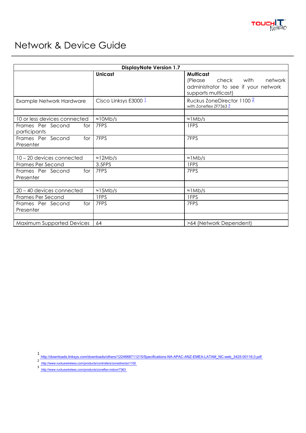

# Network & Device Guide

| <b>DisplayNote Version 1.7</b>           |                                  |                                                                                                                     |
|------------------------------------------|----------------------------------|---------------------------------------------------------------------------------------------------------------------|
|                                          | <b>Unicast</b>                   | <b>Multicast</b><br>(Please<br>check with<br>network<br>administrator to see if your network<br>supports multicast) |
| Example Network Hardware                 | Cisco Linksys E3000 <sup>1</sup> | Ruckus ZoneDirector 1100 <sup>2</sup><br>with Zoneflex ZF7363 $\frac{3}{2}$                                         |
| 10 or less devices connected             | $\approx 10Mb/s$                 | $\approx$ 1 Mb/s                                                                                                    |
| Frames Per Second<br>for<br>participants | 7FPS                             | 1FPS                                                                                                                |
| Frames Per Second<br>for<br>Presenter    | 7FPS                             | 7FPS                                                                                                                |
| 10 – 20 devices connected                | $\approx$ 12Mb/s                 | $\approx$ 1 Mb/s                                                                                                    |
| <b>Frames Per Second</b>                 | 3.5FPS                           | 1FPS                                                                                                                |
| Frames Per Second<br>for<br>Presenter    | 7FPS                             | 7FPS                                                                                                                |
| 20 - 40 devices connected                | $\approx$ 15Mb/s                 | $\approx$ 1 Mb/s                                                                                                    |
| Frames Per Second                        | 1FPS                             | 1FPS                                                                                                                |
| Frames Per Second<br>for<br>Presenter    | 7FPS                             | 7FPS                                                                                                                |
|                                          |                                  |                                                                                                                     |
| Maximum Supported Devices                | 64                               | >64 (Network Dependent)                                                                                             |

1<br>http://downloads.linksys.com/downloads/others/1224668711215/Specifications-NA-APAC-ANZ-EMEA-LATAM\_NC-web\_3425-00116,0.pdf<br>3 http://www.ruckuswireless.com/products/controllers/zonedirector1100<br>3 http://www.ruckuswireless.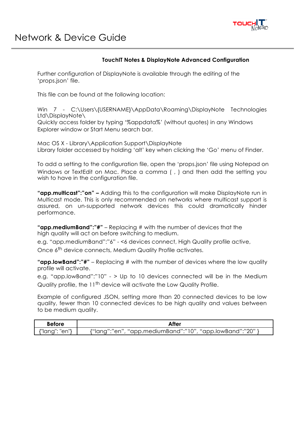

# **TouchIT Notes & DisplayNote Advanced Configuration**

Further configuration of DisplayNote is available through the editing of the 'props.json' file.

This file can be found at the following location:

Win 7 - C:\Users\{USERNAME}\AppData\Roaming\DisplayNote Technologies Ltd\DisplayNote\

Quickly access folder by typing '%appdata%' (without quotes) in any Windows Explorer window or Start Menu search bar.

Mac OS X - Library\Application Support\DisplayNote Library folder accessed by holding 'alt' key when clicking the 'Go' menu of Finder.

To add a setting to the configuration file, open the 'props.json' file using Notepad on Windows or TextEdit on Mac. Place a comma (, ) and then add the setting you wish to have in the configuration file.

**"app.multicast":"on" –** Adding this to the configuration will make DisplayNote run in Multicast mode. This is only recommended on networks where multicast support is assured, on un-supported network devices this could dramatically hinder performance.

**"app.mediumBand":"#"** – Replacing # with the number of devices that the high quality will act on before switching to medium.

e.g. "app.mediumBand":"6" - <6 devices connect, High Quality profile active,

Once 6<sup>th</sup> device connects, Medium Quality Profile activates.

**"app.lowBand":"#"** – Replacing # with the number of devices where the low quality profile will activate.

e.g. "app.lowBand":"10" - > Up to 10 devices connected will be in the Medium Quality profile, the 11<sup>th</sup> device will activate the Low Quality Profile.

Example of configured JSON, setting more than 20 connected devices to be low quality, fewer than 10 connected devices to be high quality and values between to be medium quality.

| <b>Before</b>  | After                                                     |  |
|----------------|-----------------------------------------------------------|--|
| {"lang": "en"} | {"lang":"en", "app.mediumBand":"10", "app.lowBand":"20" } |  |